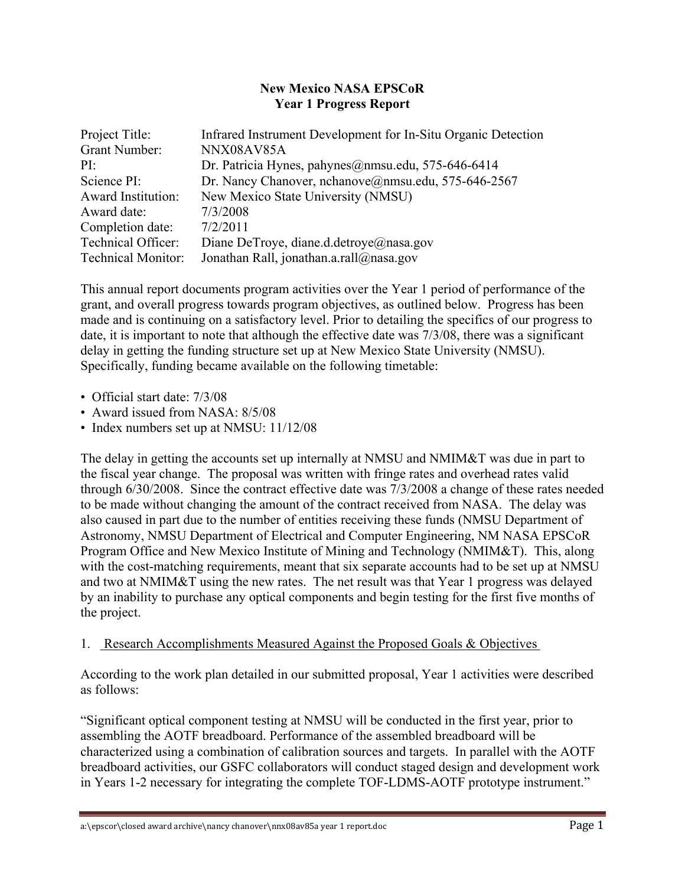### **New Mexico NASA EPSCoR Year 1 Progress Report**

| Project Title:            | Infrared Instrument Development for In-Situ Organic Detection |
|---------------------------|---------------------------------------------------------------|
| <b>Grant Number:</b>      | NNX08AV85A                                                    |
| PI:                       | Dr. Patricia Hynes, pahynes@nmsu.edu, 575-646-6414            |
| Science PI:               | Dr. Nancy Chanover, nchanove@nmsu.edu, 575-646-2567           |
| <b>Award Institution:</b> | New Mexico State University (NMSU)                            |
| Award date:               | 7/3/2008                                                      |
| Completion date:          | 7/2/2011                                                      |
| <b>Technical Officer:</b> | Diane DeTroye, diane.d.detroye@nasa.gov                       |
| <b>Technical Monitor:</b> | Jonathan Rall, jonathan.a.rall@nasa.gov                       |

This annual report documents program activities over the Year 1 period of performance of the grant, and overall progress towards program objectives, as outlined below. Progress has been made and is continuing on a satisfactory level. Prior to detailing the specifics of our progress to date, it is important to note that although the effective date was 7/3/08, there was a significant delay in getting the funding structure set up at New Mexico State University (NMSU). Specifically, funding became available on the following timetable:

- Official start date: 7/3/08
- Award issued from NASA: 8/5/08
- Index numbers set up at NMSU: 11/12/08

The delay in getting the accounts set up internally at NMSU and NMIM&T was due in part to the fiscal year change. The proposal was written with fringe rates and overhead rates valid through 6/30/2008. Since the contract effective date was 7/3/2008 a change of these rates needed to be made without changing the amount of the contract received from NASA. The delay was also caused in part due to the number of entities receiving these funds (NMSU Department of Astronomy, NMSU Department of Electrical and Computer Engineering, NM NASA EPSCoR Program Office and New Mexico Institute of Mining and Technology (NMIM&T). This, along with the cost-matching requirements, meant that six separate accounts had to be set up at NMSU and two at NMIM&T using the new rates. The net result was that Year 1 progress was delayed by an inability to purchase any optical components and begin testing for the first five months of the project.

### 1. Research Accomplishments Measured Against the Proposed Goals & Objectives

According to the work plan detailed in our submitted proposal, Year 1 activities were described as follows:

"Significant optical component testing at NMSU will be conducted in the first year, prior to assembling the AOTF breadboard. Performance of the assembled breadboard will be characterized using a combination of calibration sources and targets. In parallel with the AOTF breadboard activities, our GSFC collaborators will conduct staged design and development work in Years 1-2 necessary for integrating the complete TOF-LDMS-AOTF prototype instrument."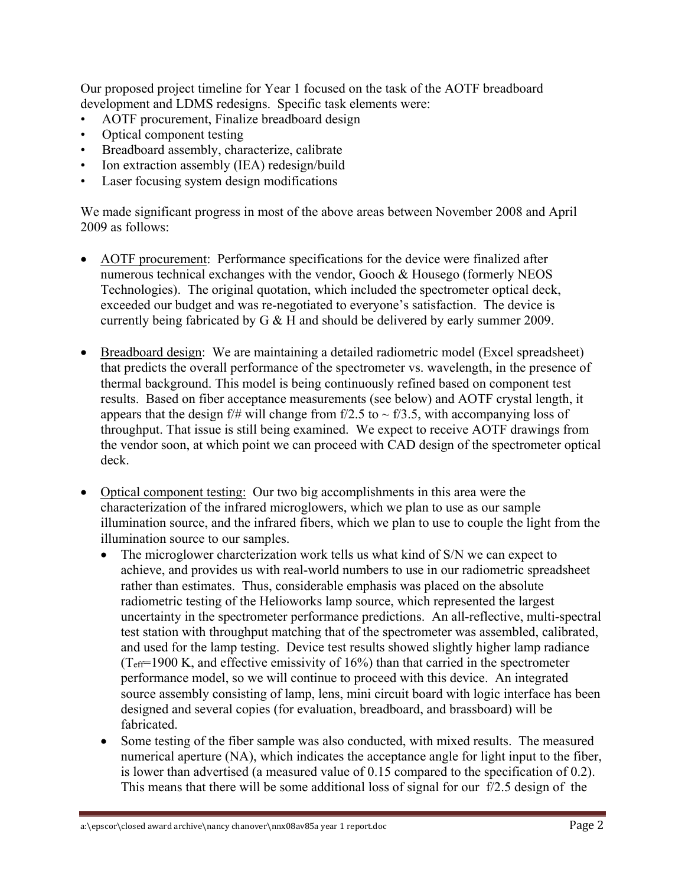Our proposed project timeline for Year 1 focused on the task of the AOTF breadboard development and LDMS redesigns. Specific task elements were:

- AOTF procurement, Finalize breadboard design
- Optical component testing
- Breadboard assembly, characterize, calibrate
- Ion extraction assembly (IEA) redesign/build
- Laser focusing system design modifications

We made significant progress in most of the above areas between November 2008 and April 2009 as follows:

- AOTF procurement: Performance specifications for the device were finalized after numerous technical exchanges with the vendor, Gooch & Housego (formerly NEOS Technologies). The original quotation, which included the spectrometer optical deck, exceeded our budget and was re-negotiated to everyone's satisfaction. The device is currently being fabricated by G & H and should be delivered by early summer 2009.
- Breadboard design: We are maintaining a detailed radiometric model (Excel spreadsheet) that predicts the overall performance of the spectrometer vs. wavelength, in the presence of thermal background. This model is being continuously refined based on component test results. Based on fiber acceptance measurements (see below) and AOTF crystal length, it appears that the design f/# will change from f/2.5 to  $\sim$  f/3.5, with accompanying loss of throughput. That issue is still being examined. We expect to receive AOTF drawings from the vendor soon, at which point we can proceed with CAD design of the spectrometer optical deck.
- Optical component testing: Our two big accomplishments in this area were the characterization of the infrared microglowers, which we plan to use as our sample illumination source, and the infrared fibers, which we plan to use to couple the light from the illumination source to our samples.
	- The microglower charcterization work tells us what kind of S/N we can expect to achieve, and provides us with real-world numbers to use in our radiometric spreadsheet rather than estimates. Thus, considerable emphasis was placed on the absolute radiometric testing of the Helioworks lamp source, which represented the largest uncertainty in the spectrometer performance predictions. An all-reflective, multi-spectral test station with throughput matching that of the spectrometer was assembled, calibrated, and used for the lamp testing. Device test results showed slightly higher lamp radiance  $(T<sub>eff</sub>=1900 K,$  and effective emissivity of 16%) than that carried in the spectrometer performance model, so we will continue to proceed with this device. An integrated source assembly consisting of lamp, lens, mini circuit board with logic interface has been designed and several copies (for evaluation, breadboard, and brassboard) will be fabricated.
	- Some testing of the fiber sample was also conducted, with mixed results. The measured numerical aperture (NA), which indicates the acceptance angle for light input to the fiber, is lower than advertised (a measured value of 0.15 compared to the specification of 0.2). This means that there will be some additional loss of signal for our f/2.5 design of the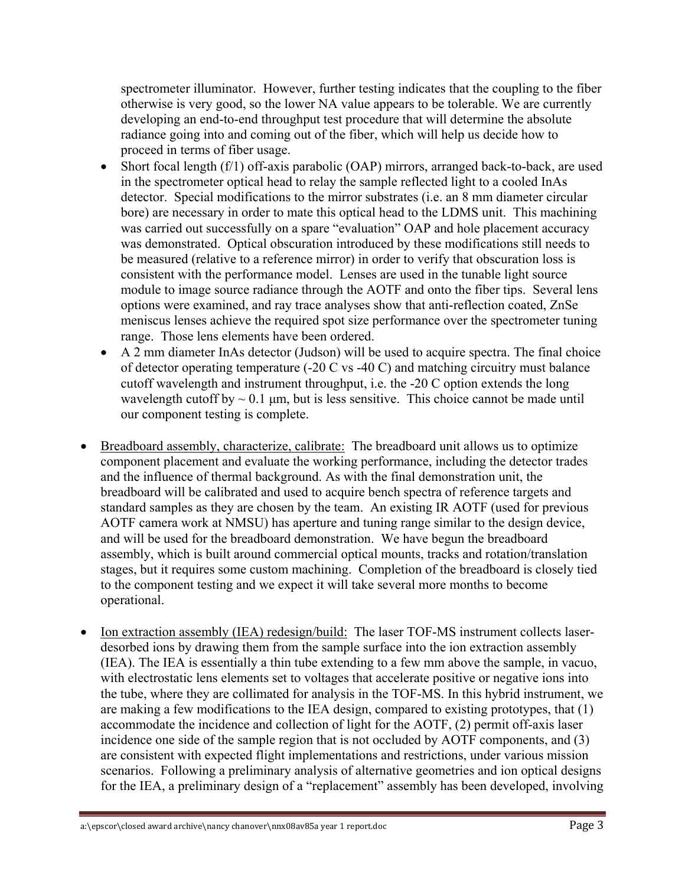spectrometer illuminator. However, further testing indicates that the coupling to the fiber otherwise is very good, so the lower NA value appears to be tolerable. We are currently developing an end-to-end throughput test procedure that will determine the absolute radiance going into and coming out of the fiber, which will help us decide how to proceed in terms of fiber usage.

- Short focal length (f/1) off-axis parabolic (OAP) mirrors, arranged back-to-back, are used in the spectrometer optical head to relay the sample reflected light to a cooled InAs detector. Special modifications to the mirror substrates (i.e. an 8 mm diameter circular bore) are necessary in order to mate this optical head to the LDMS unit. This machining was carried out successfully on a spare "evaluation" OAP and hole placement accuracy was demonstrated. Optical obscuration introduced by these modifications still needs to be measured (relative to a reference mirror) in order to verify that obscuration loss is consistent with the performance model. Lenses are used in the tunable light source module to image source radiance through the AOTF and onto the fiber tips. Several lens options were examined, and ray trace analyses show that anti-reflection coated, ZnSe meniscus lenses achieve the required spot size performance over the spectrometer tuning range. Those lens elements have been ordered.
- A 2 mm diameter InAs detector (Judson) will be used to acquire spectra. The final choice of detector operating temperature (-20 C vs -40 C) and matching circuitry must balance cutoff wavelength and instrument throughput, i.e. the -20 C option extends the long wavelength cutoff by  $\sim 0.1$  µm, but is less sensitive. This choice cannot be made until our component testing is complete.
- Breadboard assembly, characterize, calibrate: The breadboard unit allows us to optimize component placement and evaluate the working performance, including the detector trades and the influence of thermal background. As with the final demonstration unit, the breadboard will be calibrated and used to acquire bench spectra of reference targets and standard samples as they are chosen by the team. An existing IR AOTF (used for previous AOTF camera work at NMSU) has aperture and tuning range similar to the design device, and will be used for the breadboard demonstration. We have begun the breadboard assembly, which is built around commercial optical mounts, tracks and rotation/translation stages, but it requires some custom machining. Completion of the breadboard is closely tied to the component testing and we expect it will take several more months to become operational.
- Ion extraction assembly (IEA) redesign/build: The laser TOF-MS instrument collects laserdesorbed ions by drawing them from the sample surface into the ion extraction assembly (IEA). The IEA is essentially a thin tube extending to a few mm above the sample, in vacuo, with electrostatic lens elements set to voltages that accelerate positive or negative ions into the tube, where they are collimated for analysis in the TOF-MS. In this hybrid instrument, we are making a few modifications to the IEA design, compared to existing prototypes, that (1) accommodate the incidence and collection of light for the AOTF, (2) permit off-axis laser incidence one side of the sample region that is not occluded by AOTF components, and (3) are consistent with expected flight implementations and restrictions, under various mission scenarios. Following a preliminary analysis of alternative geometries and ion optical designs for the IEA, a preliminary design of a "replacement" assembly has been developed, involving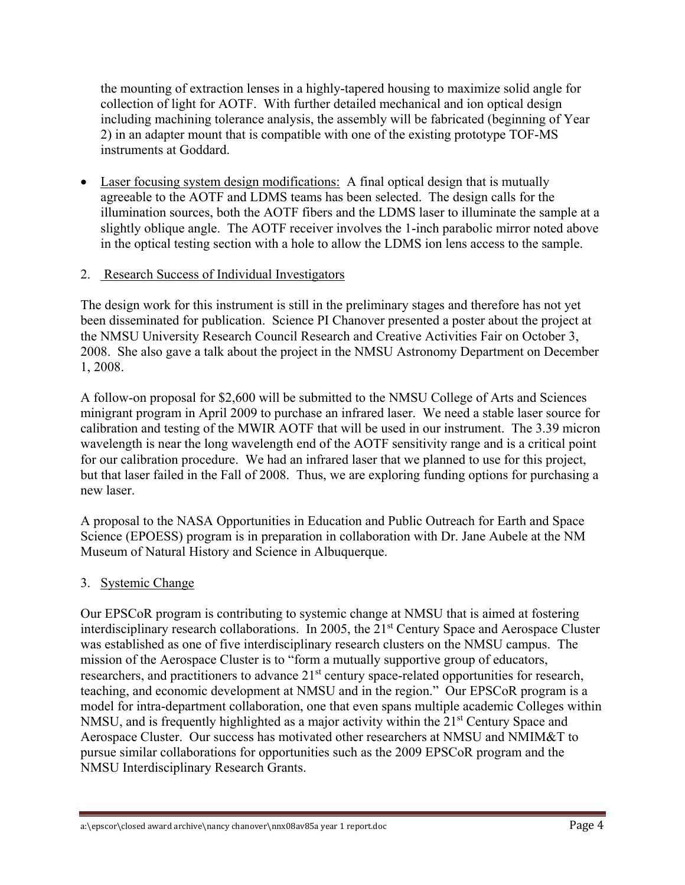the mounting of extraction lenses in a highly-tapered housing to maximize solid angle for collection of light for AOTF. With further detailed mechanical and ion optical design including machining tolerance analysis, the assembly will be fabricated (beginning of Year 2) in an adapter mount that is compatible with one of the existing prototype TOF-MS instruments at Goddard.

 Laser focusing system design modifications: A final optical design that is mutually agreeable to the AOTF and LDMS teams has been selected. The design calls for the illumination sources, both the AOTF fibers and the LDMS laser to illuminate the sample at a slightly oblique angle. The AOTF receiver involves the 1-inch parabolic mirror noted above in the optical testing section with a hole to allow the LDMS ion lens access to the sample.

## 2. Research Success of Individual Investigators

The design work for this instrument is still in the preliminary stages and therefore has not yet been disseminated for publication. Science PI Chanover presented a poster about the project at the NMSU University Research Council Research and Creative Activities Fair on October 3, 2008. She also gave a talk about the project in the NMSU Astronomy Department on December 1, 2008.

A follow-on proposal for \$2,600 will be submitted to the NMSU College of Arts and Sciences minigrant program in April 2009 to purchase an infrared laser. We need a stable laser source for calibration and testing of the MWIR AOTF that will be used in our instrument. The 3.39 micron wavelength is near the long wavelength end of the AOTF sensitivity range and is a critical point for our calibration procedure. We had an infrared laser that we planned to use for this project, but that laser failed in the Fall of 2008. Thus, we are exploring funding options for purchasing a new laser.

A proposal to the NASA Opportunities in Education and Public Outreach for Earth and Space Science (EPOESS) program is in preparation in collaboration with Dr. Jane Aubele at the NM Museum of Natural History and Science in Albuquerque.

# 3. Systemic Change

Our EPSCoR program is contributing to systemic change at NMSU that is aimed at fostering interdisciplinary research collaborations. In 2005, the 21<sup>st</sup> Century Space and Aerospace Cluster was established as one of five interdisciplinary research clusters on the NMSU campus. The mission of the Aerospace Cluster is to "form a mutually supportive group of educators, researchers, and practitioners to advance 21<sup>st</sup> century space-related opportunities for research, teaching, and economic development at NMSU and in the region." Our EPSCoR program is a model for intra-department collaboration, one that even spans multiple academic Colleges within NMSU, and is frequently highlighted as a major activity within the 21<sup>st</sup> Century Space and Aerospace Cluster. Our success has motivated other researchers at NMSU and NMIM&T to pursue similar collaborations for opportunities such as the 2009 EPSCoR program and the NMSU Interdisciplinary Research Grants.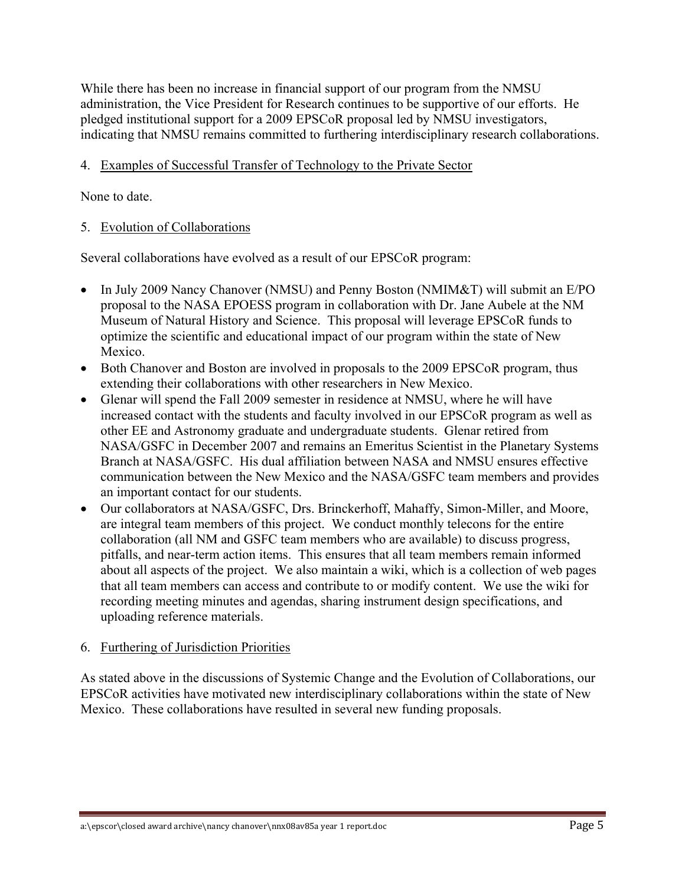While there has been no increase in financial support of our program from the NMSU administration, the Vice President for Research continues to be supportive of our efforts. He pledged institutional support for a 2009 EPSCoR proposal led by NMSU investigators, indicating that NMSU remains committed to furthering interdisciplinary research collaborations.

### 4. Examples of Successful Transfer of Technology to the Private Sector

None to date.

### 5. Evolution of Collaborations

Several collaborations have evolved as a result of our EPSCoR program:

- In July 2009 Nancy Chanover (NMSU) and Penny Boston (NMIM&T) will submit an E/PO proposal to the NASA EPOESS program in collaboration with Dr. Jane Aubele at the NM Museum of Natural History and Science. This proposal will leverage EPSCoR funds to optimize the scientific and educational impact of our program within the state of New Mexico.
- Both Chanover and Boston are involved in proposals to the 2009 EPSCoR program, thus extending their collaborations with other researchers in New Mexico.
- Glenar will spend the Fall 2009 semester in residence at NMSU, where he will have increased contact with the students and faculty involved in our EPSCoR program as well as other EE and Astronomy graduate and undergraduate students. Glenar retired from NASA/GSFC in December 2007 and remains an Emeritus Scientist in the Planetary Systems Branch at NASA/GSFC. His dual affiliation between NASA and NMSU ensures effective communication between the New Mexico and the NASA/GSFC team members and provides an important contact for our students.
- Our collaborators at NASA/GSFC, Drs. Brinckerhoff, Mahaffy, Simon-Miller, and Moore, are integral team members of this project. We conduct monthly telecons for the entire collaboration (all NM and GSFC team members who are available) to discuss progress, pitfalls, and near-term action items. This ensures that all team members remain informed about all aspects of the project. We also maintain a wiki, which is a collection of web pages that all team members can access and contribute to or modify content. We use the wiki for recording meeting minutes and agendas, sharing instrument design specifications, and uploading reference materials.

### 6. Furthering of Jurisdiction Priorities

As stated above in the discussions of Systemic Change and the Evolution of Collaborations, our EPSCoR activities have motivated new interdisciplinary collaborations within the state of New Mexico. These collaborations have resulted in several new funding proposals.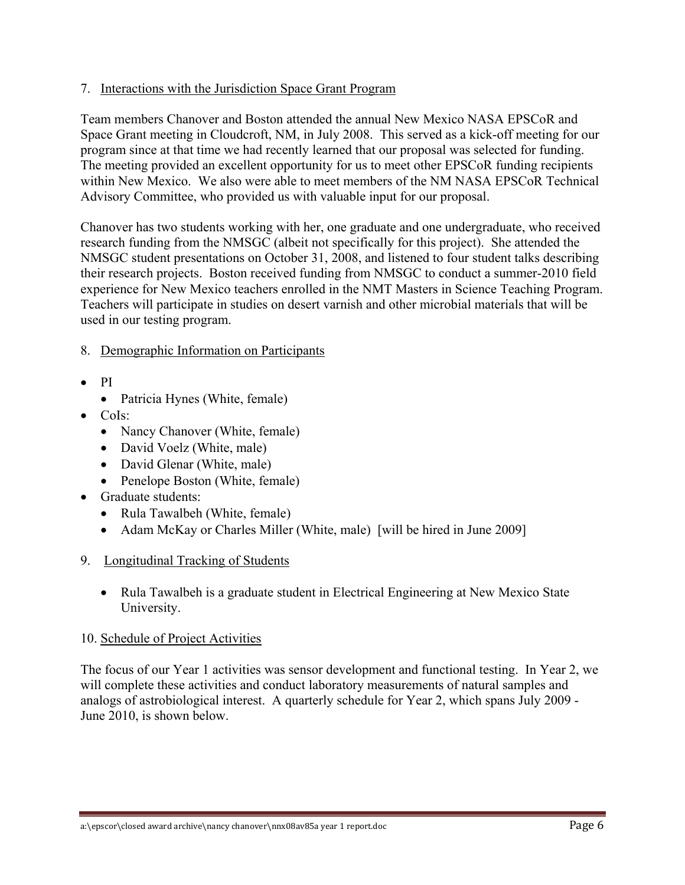### 7. Interactions with the Jurisdiction Space Grant Program

Team members Chanover and Boston attended the annual New Mexico NASA EPSCoR and Space Grant meeting in Cloudcroft, NM, in July 2008. This served as a kick-off meeting for our program since at that time we had recently learned that our proposal was selected for funding. The meeting provided an excellent opportunity for us to meet other EPSCoR funding recipients within New Mexico. We also were able to meet members of the NM NASA EPSCoR Technical Advisory Committee, who provided us with valuable input for our proposal.

Chanover has two students working with her, one graduate and one undergraduate, who received research funding from the NMSGC (albeit not specifically for this project). She attended the NMSGC student presentations on October 31, 2008, and listened to four student talks describing their research projects. Boston received funding from NMSGC to conduct a summer-2010 field experience for New Mexico teachers enrolled in the NMT Masters in Science Teaching Program. Teachers will participate in studies on desert varnish and other microbial materials that will be used in our testing program.

- 8. Demographic Information on Participants
- $\bullet$  PI
	- Patricia Hynes (White, female)
- CoIs:
	- Nancy Chanover (White, female)
	- David Voelz (White, male)
	- David Glenar (White, male)
	- Penelope Boston (White, female)
- Graduate students:
	- Rula Tawalbeh (White, female)
	- Adam McKay or Charles Miller (White, male) [will be hired in June 2009]
- 9. Longitudinal Tracking of Students
	- Rula Tawalbeh is a graduate student in Electrical Engineering at New Mexico State University.

### 10. Schedule of Project Activities

The focus of our Year 1 activities was sensor development and functional testing. In Year 2, we will complete these activities and conduct laboratory measurements of natural samples and analogs of astrobiological interest. A quarterly schedule for Year 2, which spans July 2009 - June 2010, is shown below.